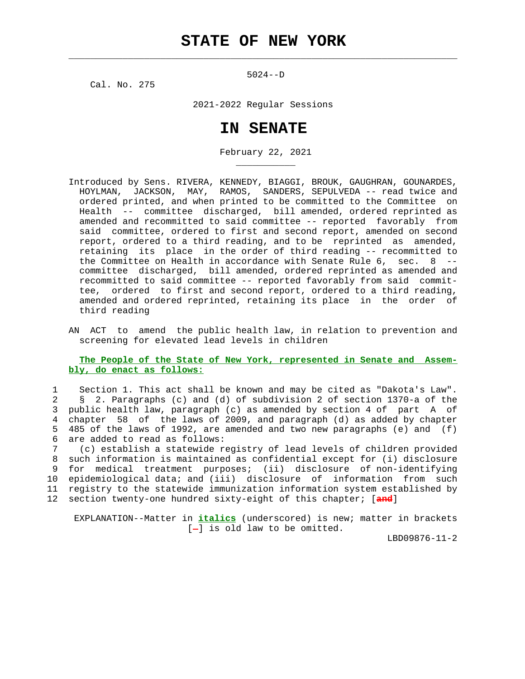$\mathcal{L}_\text{max} = \frac{1}{2} \sum_{i=1}^{n} \frac{1}{2} \sum_{i=1}^{n} \frac{1}{2} \sum_{i=1}^{n} \frac{1}{2} \sum_{i=1}^{n} \frac{1}{2} \sum_{i=1}^{n} \frac{1}{2} \sum_{i=1}^{n} \frac{1}{2} \sum_{i=1}^{n} \frac{1}{2} \sum_{i=1}^{n} \frac{1}{2} \sum_{i=1}^{n} \frac{1}{2} \sum_{i=1}^{n} \frac{1}{2} \sum_{i=1}^{n} \frac{1}{2} \sum_{i=1}^{n} \frac{1$ 

5024--D

Cal. No. 275

\_\_\_\_\_\_\_\_\_\_\_

2021-2022 Regular Sessions

## **IN SENATE**

February 22, 2021

- Introduced by Sens. RIVERA, KENNEDY, BIAGGI, BROUK, GAUGHRAN, GOUNARDES, HOYLMAN, JACKSON, MAY, RAMOS, SANDERS, SEPULVEDA -- read twice and ordered printed, and when printed to be committed to the Committee on Health -- committee discharged, bill amended, ordered reprinted as amended and recommitted to said committee -- reported favorably from said committee, ordered to first and second report, amended on second report, ordered to a third reading, and to be reprinted as amended, retaining its place in the order of third reading -- recommitted to the Committee on Health in accordance with Senate Rule 6, sec. 8 - committee discharged, bill amended, ordered reprinted as amended and recommitted to said committee -- reported favorably from said commit tee, ordered to first and second report, ordered to a third reading, amended and ordered reprinted, retaining its place in the order of third reading
- AN ACT to amend the public health law, in relation to prevention and screening for elevated lead levels in children

## **The People of the State of New York, represented in Senate and Assem bly, do enact as follows:**

 1 Section 1. This act shall be known and may be cited as "Dakota's Law". 2 § 2. Paragraphs (c) and (d) of subdivision 2 of section 1370-a of the 3 public health law, paragraph (c) as amended by section 4 of part A of 4 chapter 58 of the laws of 2009, and paragraph (d) as added by chapter 5 485 of the laws of 1992, are amended and two new paragraphs (e) and (f) 6 are added to read as follows:

 7 (c) establish a statewide registry of lead levels of children provided 8 such information is maintained as confidential except for (i) disclosure 9 for medical treatment purposes; (ii) disclosure of non-identifying 10 epidemiological data; and (iii) disclosure of information from such 11 registry to the statewide immunization information system established by 12 section twenty-one hundred sixty-eight of this chapter; [**and**]

 EXPLANATION--Matter in **italics** (underscored) is new; matter in brackets  $[-]$  is old law to be omitted.

LBD09876-11-2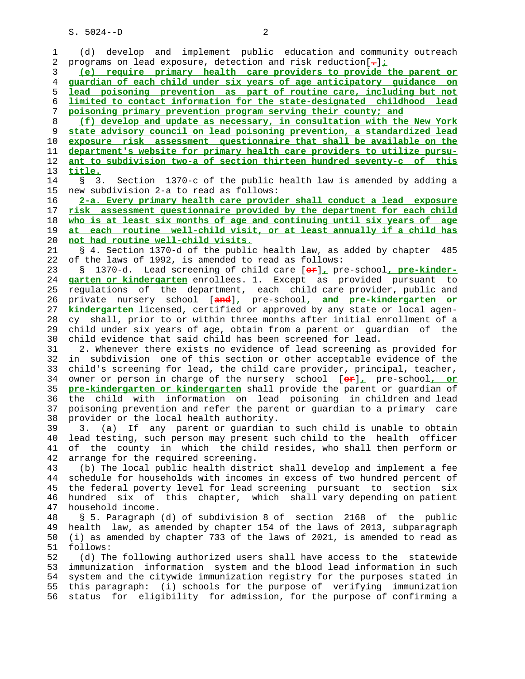S. 5024--D 2

|    | develop and implement public education and community outreach                      |
|----|------------------------------------------------------------------------------------|
| 1  | (d)                                                                                |
| 2  | programs on lead exposure, detection and risk reduction $\left[\frac{1}{r}\right]$ |
| 3  | (e) require primary health care providers to provide the parent or                 |
| 4  | guardian of each child under six years of age anticipatory guidance on             |
| 5  | lead poisoning prevention as part of routine care, including but not               |
| 6  | limited to contact information for the state-designated childhood lead             |
| 7  | poisoning primary prevention program serving their county; and                     |
| 8  | (f) develop and update as necessary, in consultation with the New York             |
|    |                                                                                    |
| 9  | state advisory council on lead poisoning prevention, a standardized lead           |
| 10 | exposure risk assessment questionnaire that shall be available on the              |
| 11 | department's website for primary health care providers to utilize pursu-           |
| 12 | ant to subdivision two-a of section thirteen hundred seventy-c of this             |
| 13 | title.                                                                             |
| 14 | Section 1370-c of the public health law is amended by adding a<br>3.<br>S          |
| 15 | new subdivision 2-a to read as follows:                                            |
| 16 | 2-a. Every primary health care provider shall conduct a lead exposure              |
| 17 | risk assessment questionnaire provided by the department for each child            |
| 18 | who is at least six months of age and continuing until six years of age            |
| 19 |                                                                                    |
|    | at each routine well-child visit, or at least annually if a child has              |
| 20 | not had routine well-child visits.                                                 |
| 21 | § 4. Section 1370-d of the public health law, as added by chapter<br>485           |
| 22 | of the laws of 1992, is amended to read as follows:                                |
| 23 | 1370-d. Lead screening of child care [or], pre-school, pre-kinder-<br>Ş.           |
| 24 | garten or kindergarten enrollees. 1. Except as provided pursuant to                |
| 25 | regulations of the department, each child care provider, public and                |
| 26 | private nursery school [and], pre-school, and pre-kindergarten or                  |
| 27 | kindergarten licensed, certified or approved by any state or local agen-           |
| 28 | cy shall, prior to or within three months after initial enrollment of a            |
| 29 | child under six years of age, obtain from a parent or guardian of the              |
| 30 | child evidence that said child has been screened for lead.                         |
|    |                                                                                    |
| 31 | 2. Whenever there exists no evidence of lead screening as provided for             |
| 32 | subdivision one of this section or other acceptable evidence of the<br>in          |
| 33 | child's screening for lead, the child care provider, principal, teacher,           |
| 34 | owner or person in charge of the nursery school [er], pre-school, or               |
| 35 | pre-kindergarten or kindergarten shall provide the parent or guardian of           |
| 36 | the child with information on lead poisoning in children and lead                  |
| 37 | poisoning prevention and refer the parent or guardian to a primary care            |
| 38 | provider or the local health authority.                                            |
| 39 | 3. (a) If any parent or guardian to such child is unable to obtain                 |
| 40 | lead testing, such person may present such child to the health officer             |
| 41 | of the county in which the child resides, who shall then perform or                |
|    |                                                                                    |
| 42 | arrange for the required screening.                                                |
| 43 | (b) The local public health district shall develop and implement a fee             |
| 44 | schedule for households with incomes in excess of two hundred percent of           |
| 45 | the federal poverty level for lead screening pursuant to section six               |
| 46 | hundred six of this chapter, which shall vary depending on patient                 |
| 47 | household income.                                                                  |
| 48 | § 5. Paragraph (d) of subdivision 8 of section 2168 of the public                  |
| 49 | health law, as amended by chapter 154 of the laws of 2013, subparagraph            |
| 50 | (i) as amended by chapter 733 of the laws of 2021, is amended to read as           |
| 51 | follows:                                                                           |
| 52 | (d) The following authorized users shall have access to the statewide              |
| 53 | immunization information system and the blood lead information in such             |
|    |                                                                                    |
| 54 | system and the citywide immunization registry for the purposes stated in           |
| 55 | this paragraph: (i) schools for the purpose of verifying immunization              |
| 56 | for eligibility for admission, for the purpose of confirming a<br>status           |
|    |                                                                                    |